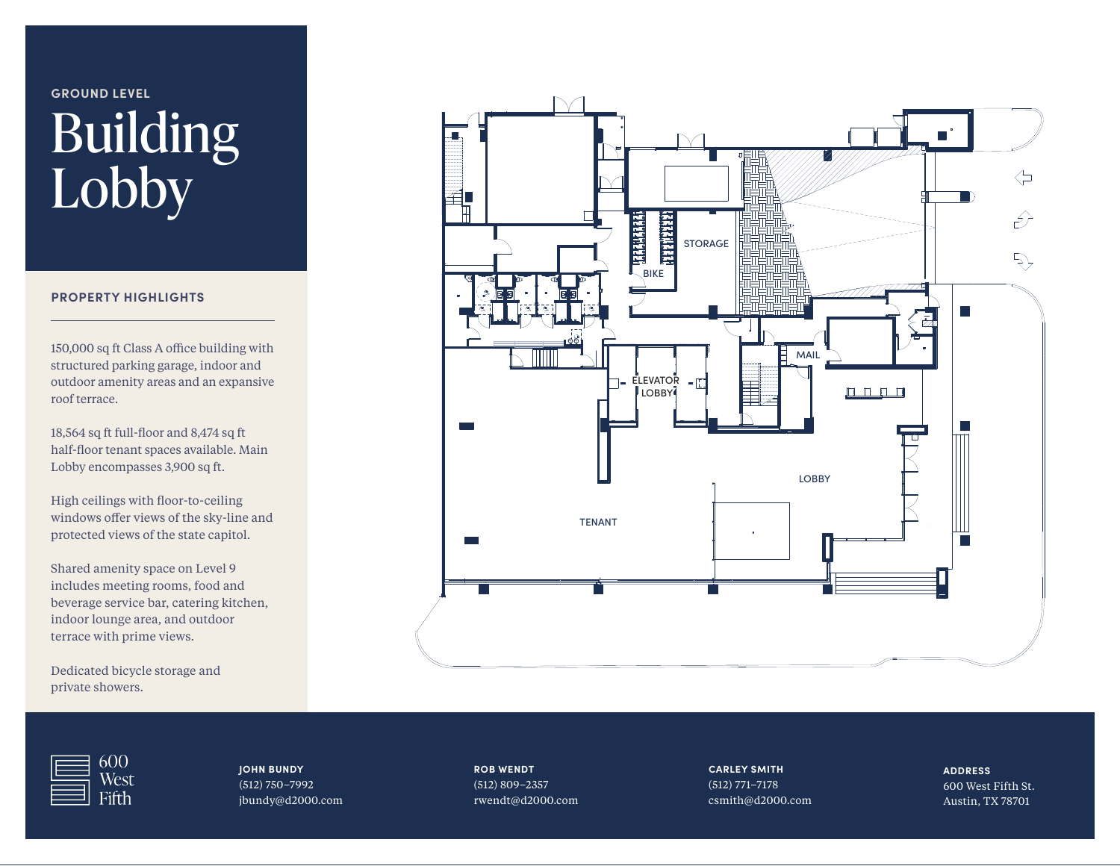### **GROUND LEVEL**

# Building Lobby

#### **PROPERTY HIGHLIGHTS**

150,000 sq ft Class A office building with structured parking garage, indoor and outdoor amenity areas and an expansive roof terrace.

18,564 sq ft full-floor and 8,474 sq ft half-floor tenant spaces available. Main Lobby encompasses 3,900 sq ft.

High ceilings with floor-to-ceiling windows offer views of the sky-line and protected views of the state capitol.

Shared amenity space on Level 9 includes meeting rooms, food and beverage service bar, catering kitchen, indoor lounge area, and outdoor terrace with prime views.

Dedicated bicycle storage and private showers.





**JOHN BUNDY** (512) 750–7992 jbundy@d2000.com **ROB WENDT** (512) 809–2357 rwendt@d2000.com **CARLEY SMITH** (512) 771–7178 csmith@d2000.com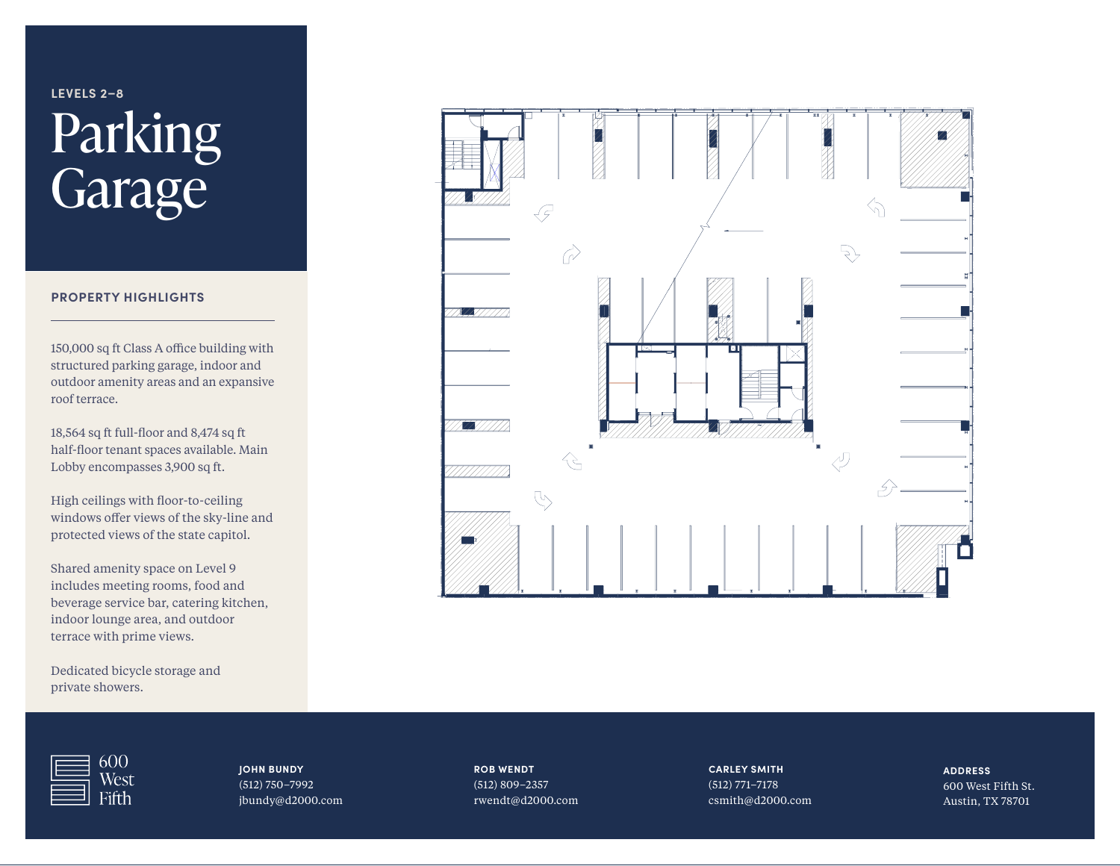## **LEVELS 2–8** Parking Garage

#### **PROPERTY HIGHLIGHTS**

150,000 sq ft Class A office building with structured parking garage, indoor and outdoor amenity areas and an expansive roof terrace.

18,564 sq ft full-floor and 8,474 sq ft half-floor tenant spaces available. Main Lobby encompasses 3,900 sq ft.

High ceilings with floor-to-ceiling windows offer views of the sky-line and protected views of the state capitol.

Shared amenity space on Level 9 includes meeting rooms, food and beverage service bar, catering kitchen, indoor lounge area, and outdoor terrace with prime views.

Dedicated bicycle storage and private showers.





**JOHN BUNDY** (512) 750–7992 jbundy@d2000.com **ROB WENDT** (512) 809–2357 rwendt@d2000.com **CARLEY SMITH** (512) 771–7178 csmith@d2000.com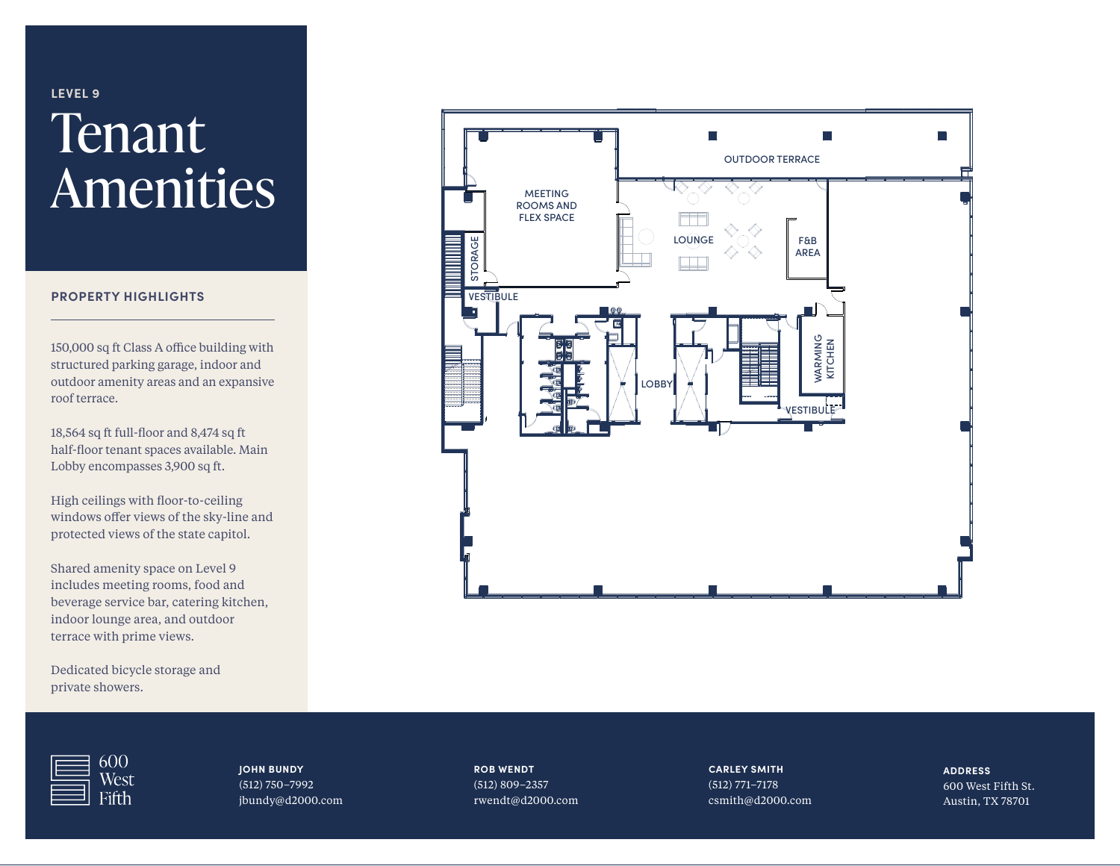### **LEVEL 9 Tenant** Amenities

#### **PROPERTY HIGHLIGHTS**

150,000 sq ft Class A office building with structured parking garage, indoor and outdoor amenity areas and an expansive roof terrace.

18,564 sq ft full-floor and 8,474 sq ft half-floor tenant spaces available. Main Lobby encompasses 3,900 sq ft.

High ceilings with floor-to-ceiling windows offer views of the sky-line and protected views of the state capitol.

Shared amenity space on Level 9 includes meeting rooms, food and beverage service bar, catering kitchen, indoor lounge area, and outdoor terrace with prime views.

Dedicated bicycle storage and private showers.



 $600$ West

**JOHN BUNDY** (512) 750–7992 jbundy@d2000.com **ROB WENDT** (512) 809–2357 rwendt@d2000.com **CARLEY SMITH** (512) 771–7178 csmith@d2000.com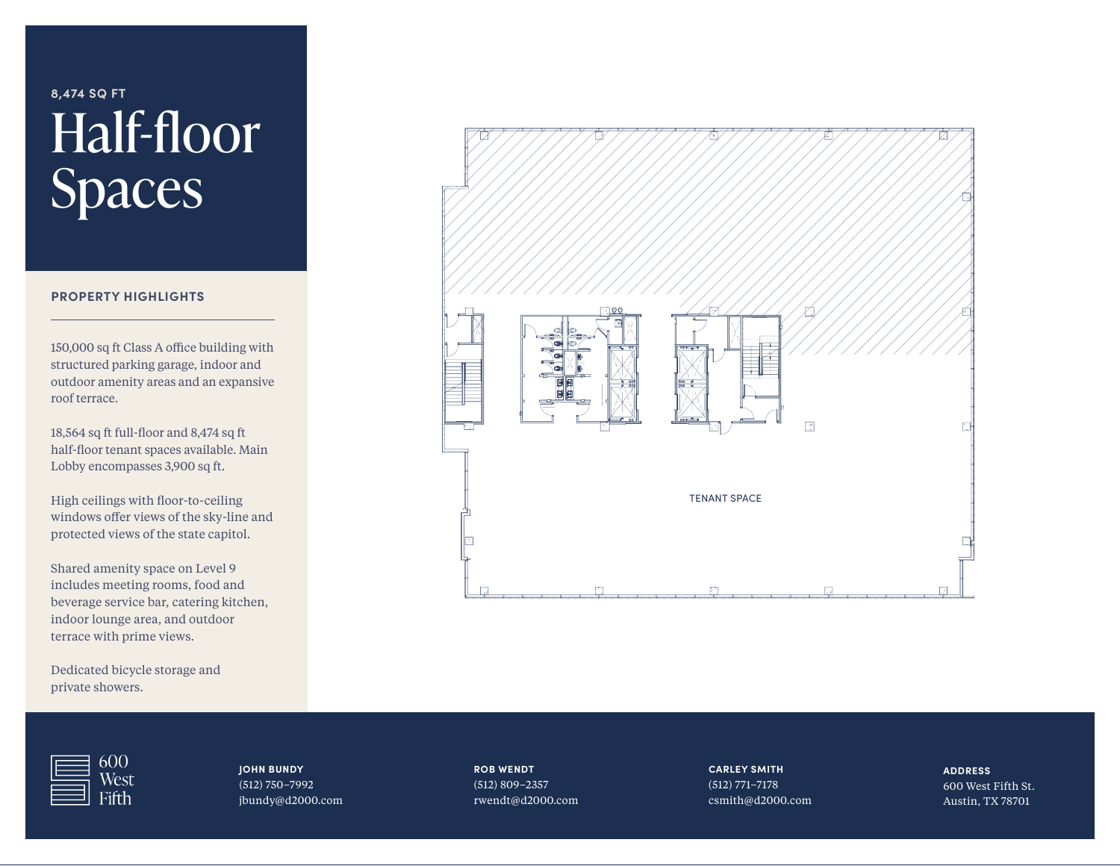### **8,474 SQ FT** Half-floor Spaces

#### **PROPERTY HIGHLIGHTS**

150,000 sq ft Class A office building with structured parking garage, indoor and outdoor amenity areas and an expansive roof terrace.

18,564 sq ft full-floor and 8,474 sq ft half-floor tenant spaces available. Main Lobby encompasses 3,900 sq ft.

High ceilings with floor-to-ceiling windows offer views of the sky-line and protected views of the state capitol.

Shared amenity space on Level 9 includes meeting rooms, food and beverage service bar, catering kitchen, indoor lounge area, and outdoor terrace with prime views.

Dedicated bicycle storage and private showers.



600 West

**JOHN BUNDY** (512) 750–7992 jbundy@d2000.com **ROB WENDT** (512) 809–2357 rwendt@d2000.com **CARLEY SMITH** (512) 771–7178 csmith@d2000.com